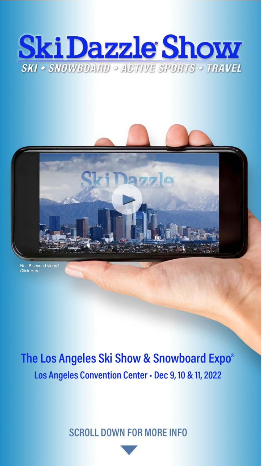



[No 15 second video?](https://skidazzle.com/wp-content/uploads/2021/04/Ski-Dazzle-Online-V4-_PromoVideo-Evergreen.mp4)  [Click Here](https://skidazzle.com/wp-content/uploads/2021/10/Ski-Dazzle-Online-V4-Promovideo-Evergreen-3.mp4)

# The Los Angeles Ski Show & Snowboard Expo® Los Angeles Convention Center - Dec 9, 10 & 11, 2022

**SCROLL DOWN FOR MORE INFO**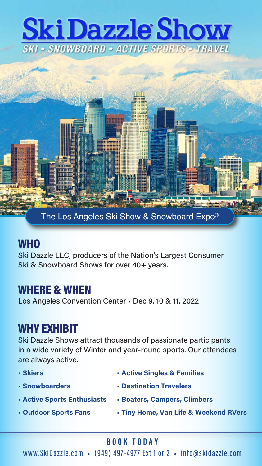# **Ski Dazzle Show SKI • SNOWBOARD • ACTIVE SPORTS • TRAVEL**



#### **WHO**

Ski Dazzle LLC, producers of the Nation's Largest Consumer Ski & Snowboard Shows for over 40+ years.

#### WHERE & WHEN

Los Angeles Convention Center • Dec 9, 10 & 11, 2022

#### WHY EXHIBIT

Ski Dazzle Shows attract thousands of passionate participants in a wide variety of Winter and year-round sports. Our attendees are always active.

| - Skiers                           | • Active Singles & Families           |
|------------------------------------|---------------------------------------|
| - Snowboarders                     | • Destination Travelers               |
| <b>- Active Sports Enthusiasts</b> | <b>- Boaters, Campers, Climbers</b>   |
| <b>- Outdoor Sports Fans</b>       | • Tiny Home, Van Life & Weekend RVers |

**[BOOK TODAY](https://skidazzle.com/exhibitor-information/become-an-exhibitor/)**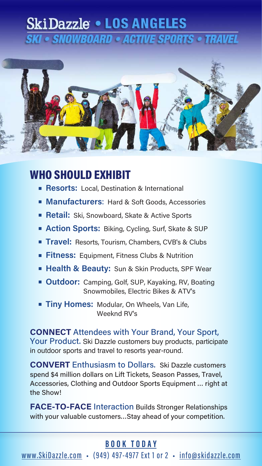## **SkiDazzle . LOS ANGELES KI • SNOWBOARD • ACTIVE SPORTS • TRAVEL**



#### WHO SHOULD EXHIBIT

- **Resorts:** Local, Destination & International
- **Manufacturers**: Hard & Soft Goods, Accessories
- **Retail:** Ski, Snowboard, Skate & Active Sports
- **Action Sports:** Biking, Cycling, Surf, Skate & SUP
- **Travel:** Resorts, Tourism, Chambers, CVB's & Clubs
- **Fitness:** Equipment, Fitness Clubs & Nutrition
- **Health & Beauty:** Sun & Skin Products, SPF Wear
- **Outdoor:** Camping, Golf, SUP, Kayaking, RV, Boating Snowmobiles, Electric Bikes & ATV's
- **Tiny Homes: Modular, On Wheels, Van Life,** Weeknd RV's

**CONNECT** Attendees with Your Brand, Your Sport, Your Product. Ski Dazzle customers buy products, participate in outdoor sports and travel to resorts year-round.

**CONVERT** Enthusiasm to Dollars. Ski Dazzle customers spend \$4 million dollars on Lift Tickets, Season Passes, Travel, Accessories, Clothing and Outdoor Sports Equipment … right at the Show!

**FACE-TO-FACE** Interaction Builds Stronger Relationships with your valuable customers…Stay ahead of your competition.

#### **[BOOK TODAY](https://skidazzle.com/exhibitor-information/become-an-exhibitor/)**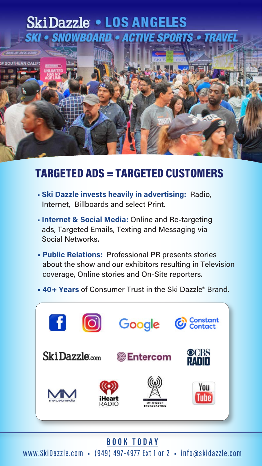### **SkiDazzle . LOS ANGELES SKI • SNOWBOARD • ACTIVE SPORTS • TRAVEL**



#### TARGETED ADS = TARGETED CUSTOMERS

- **Ski Dazzle invests heavily in advertising:** Radio, Internet, Billboards and select Print.
- **Internet & Social Media:** Online and Re-targeting ads, Targeted Emails, Texting and Messaging via Social Networks.
- **Public Relations:** Professional PR presents stories about the show and our exhibitors resulting in Television coverage, Online stories and On-Site reporters.
- **40+ Years** of Consumer Trust in the Ski Dazzle® Brand.



#### **[BOOK TODAY](https://skidazzle.com/exhibitor-information/become-an-exhibitor/)**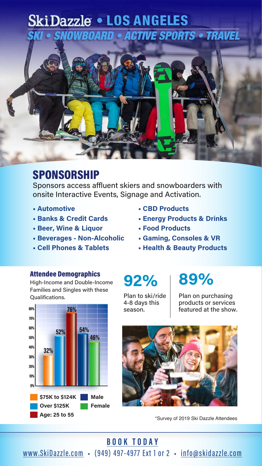## **SkiDazzle . LOS ANGELES SNOWBOARD • ACTIVE SPORTS • TRAVEL**



#### **SPONSORSHIP**

Sponsors access affluent skiers and snowboarders with onsite Interactive Events, Signage and Activation.

- **Automotive**
- **Banks & Credit Cards**
- **Beer, Wine & Liquor**
- **Beverages Non-Alcoholic**
- **Cell Phones & Tablets**
- **CBD Products**
- **Energy Products & Drinks**
- **Food Products**
- **Gaming, Consoles & VR**
- **Health & Beauty Products**

#### Attendee Demographics

High-Income and Double-Income Families and Singles with these Qualifications.



Plan to ski/ride 4-8 days this season.

# **92% 89%**

Plan on purchasing products or services featured at the show.



\*Survey of 2019 Ski Dazzle Attendees

#### **[BOOK TODAY](https://skidazzle.com/exhibitor-information/become-an-exhibitor/)**